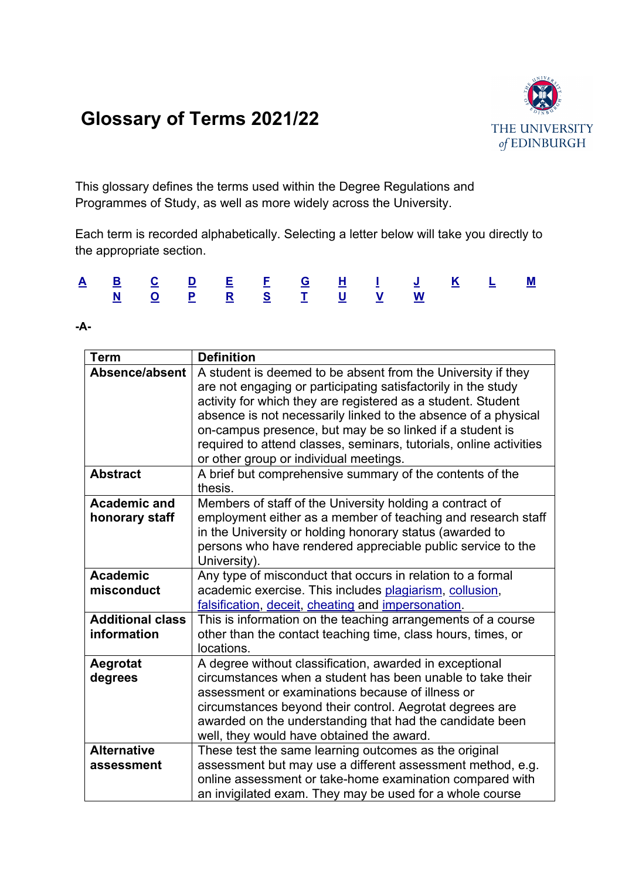# **Glossary of Terms 2021/22**



<span id="page-0-1"></span>This glossary defines the terms used within the Degree Regulations and Programmes of Study, as well as more widely across the University.

Each term is recorded alphabetically. Selecting a letter below will take you directly to the appropriate section.

|  |  |  |  | <u>A B C D E E G H I J K L M</u> |  |  |
|--|--|--|--|----------------------------------|--|--|
|  |  |  |  | <u>N Q P R S T U V W</u>         |  |  |

#### <span id="page-0-0"></span>**-A-**

| <b>Term</b>                            | <b>Definition</b>                                                                                                                                                                                                                                                                                                                                                                                                                                                                                       |
|----------------------------------------|---------------------------------------------------------------------------------------------------------------------------------------------------------------------------------------------------------------------------------------------------------------------------------------------------------------------------------------------------------------------------------------------------------------------------------------------------------------------------------------------------------|
| Absence/absent<br><b>Abstract</b>      | A student is deemed to be absent from the University if they<br>are not engaging or participating satisfactorily in the study<br>activity for which they are registered as a student. Student<br>absence is not necessarily linked to the absence of a physical<br>on-campus presence, but may be so linked if a student is<br>required to attend classes, seminars, tutorials, online activities<br>or other group or individual meetings.<br>A brief but comprehensive summary of the contents of the |
|                                        | thesis.                                                                                                                                                                                                                                                                                                                                                                                                                                                                                                 |
| <b>Academic and</b><br>honorary staff  | Members of staff of the University holding a contract of<br>employment either as a member of teaching and research staff<br>in the University or holding honorary status (awarded to<br>persons who have rendered appreciable public service to the<br>University).                                                                                                                                                                                                                                     |
| <b>Academic</b><br>misconduct          | Any type of misconduct that occurs in relation to a formal<br>academic exercise. This includes plagiarism, collusion,<br>falsification, deceit, cheating and impersonation.                                                                                                                                                                                                                                                                                                                             |
| <b>Additional class</b><br>information | This is information on the teaching arrangements of a course<br>other than the contact teaching time, class hours, times, or<br>locations.                                                                                                                                                                                                                                                                                                                                                              |
| Aegrotat<br>degrees                    | A degree without classification, awarded in exceptional<br>circumstances when a student has been unable to take their<br>assessment or examinations because of illness or<br>circumstances beyond their control. Aegrotat degrees are<br>awarded on the understanding that had the candidate been<br>well, they would have obtained the award.                                                                                                                                                          |
| <b>Alternative</b><br>assessment       | These test the same learning outcomes as the original<br>assessment but may use a different assessment method, e.g.<br>online assessment or take-home examination compared with<br>an invigilated exam. They may be used for a whole course                                                                                                                                                                                                                                                             |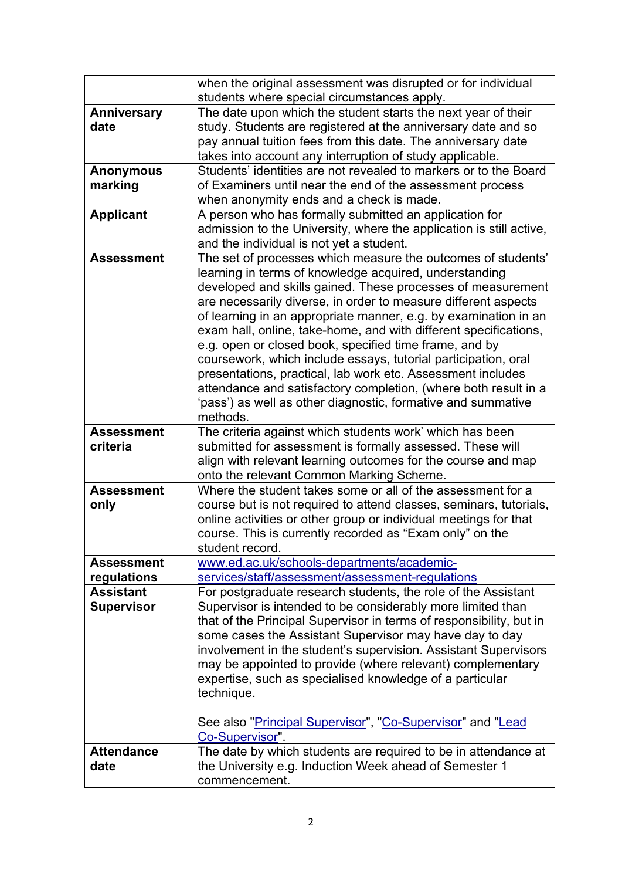<span id="page-1-0"></span>

|                                       | when the original assessment was disrupted or for individual                                                                                                                                                                                                                                                                                                                                                                                                                                                                                                                                                                                                                                                                             |
|---------------------------------------|------------------------------------------------------------------------------------------------------------------------------------------------------------------------------------------------------------------------------------------------------------------------------------------------------------------------------------------------------------------------------------------------------------------------------------------------------------------------------------------------------------------------------------------------------------------------------------------------------------------------------------------------------------------------------------------------------------------------------------------|
|                                       | students where special circumstances apply.                                                                                                                                                                                                                                                                                                                                                                                                                                                                                                                                                                                                                                                                                              |
| Anniversary                           | The date upon which the student starts the next year of their                                                                                                                                                                                                                                                                                                                                                                                                                                                                                                                                                                                                                                                                            |
| date                                  | study. Students are registered at the anniversary date and so                                                                                                                                                                                                                                                                                                                                                                                                                                                                                                                                                                                                                                                                            |
|                                       | pay annual tuition fees from this date. The anniversary date                                                                                                                                                                                                                                                                                                                                                                                                                                                                                                                                                                                                                                                                             |
|                                       | takes into account any interruption of study applicable.                                                                                                                                                                                                                                                                                                                                                                                                                                                                                                                                                                                                                                                                                 |
| <b>Anonymous</b>                      | Students' identities are not revealed to markers or to the Board                                                                                                                                                                                                                                                                                                                                                                                                                                                                                                                                                                                                                                                                         |
| marking                               | of Examiners until near the end of the assessment process                                                                                                                                                                                                                                                                                                                                                                                                                                                                                                                                                                                                                                                                                |
|                                       | when anonymity ends and a check is made.                                                                                                                                                                                                                                                                                                                                                                                                                                                                                                                                                                                                                                                                                                 |
| <b>Applicant</b>                      | A person who has formally submitted an application for                                                                                                                                                                                                                                                                                                                                                                                                                                                                                                                                                                                                                                                                                   |
|                                       | admission to the University, where the application is still active,                                                                                                                                                                                                                                                                                                                                                                                                                                                                                                                                                                                                                                                                      |
|                                       | and the individual is not yet a student.                                                                                                                                                                                                                                                                                                                                                                                                                                                                                                                                                                                                                                                                                                 |
| <b>Assessment</b>                     | The set of processes which measure the outcomes of students'<br>learning in terms of knowledge acquired, understanding<br>developed and skills gained. These processes of measurement<br>are necessarily diverse, in order to measure different aspects<br>of learning in an appropriate manner, e.g. by examination in an<br>exam hall, online, take-home, and with different specifications,<br>e.g. open or closed book, specified time frame, and by<br>coursework, which include essays, tutorial participation, oral<br>presentations, practical, lab work etc. Assessment includes<br>attendance and satisfactory completion, (where both result in a<br>'pass') as well as other diagnostic, formative and summative<br>methods. |
| <b>Assessment</b>                     | The criteria against which students work' which has been                                                                                                                                                                                                                                                                                                                                                                                                                                                                                                                                                                                                                                                                                 |
| criteria                              | submitted for assessment is formally assessed. These will<br>align with relevant learning outcomes for the course and map<br>onto the relevant Common Marking Scheme.                                                                                                                                                                                                                                                                                                                                                                                                                                                                                                                                                                    |
| <b>Assessment</b>                     | Where the student takes some or all of the assessment for a                                                                                                                                                                                                                                                                                                                                                                                                                                                                                                                                                                                                                                                                              |
| only                                  | course but is not required to attend classes, seminars, tutorials,<br>online activities or other group or individual meetings for that<br>course. This is currently recorded as "Exam only" on the<br>student record.                                                                                                                                                                                                                                                                                                                                                                                                                                                                                                                    |
| <b>Assessment</b>                     | www.ed.ac.uk/schools-departments/academic-                                                                                                                                                                                                                                                                                                                                                                                                                                                                                                                                                                                                                                                                                               |
| regulations                           | services/staff/assessment/assessment-regulations                                                                                                                                                                                                                                                                                                                                                                                                                                                                                                                                                                                                                                                                                         |
| <b>Assistant</b><br><b>Supervisor</b> | For postgraduate research students, the role of the Assistant<br>Supervisor is intended to be considerably more limited than<br>that of the Principal Supervisor in terms of responsibility, but in<br>some cases the Assistant Supervisor may have day to day<br>involvement in the student's supervision. Assistant Supervisors<br>may be appointed to provide (where relevant) complementary<br>expertise, such as specialised knowledge of a particular<br>technique.                                                                                                                                                                                                                                                                |
|                                       | See also "Principal Supervisor", "Co-Supervisor" and "Lead<br>Co-Supervisor".                                                                                                                                                                                                                                                                                                                                                                                                                                                                                                                                                                                                                                                            |
| <b>Attendance</b>                     | The date by which students are required to be in attendance at                                                                                                                                                                                                                                                                                                                                                                                                                                                                                                                                                                                                                                                                           |
| date                                  | the University e.g. Induction Week ahead of Semester 1<br>commencement.                                                                                                                                                                                                                                                                                                                                                                                                                                                                                                                                                                                                                                                                  |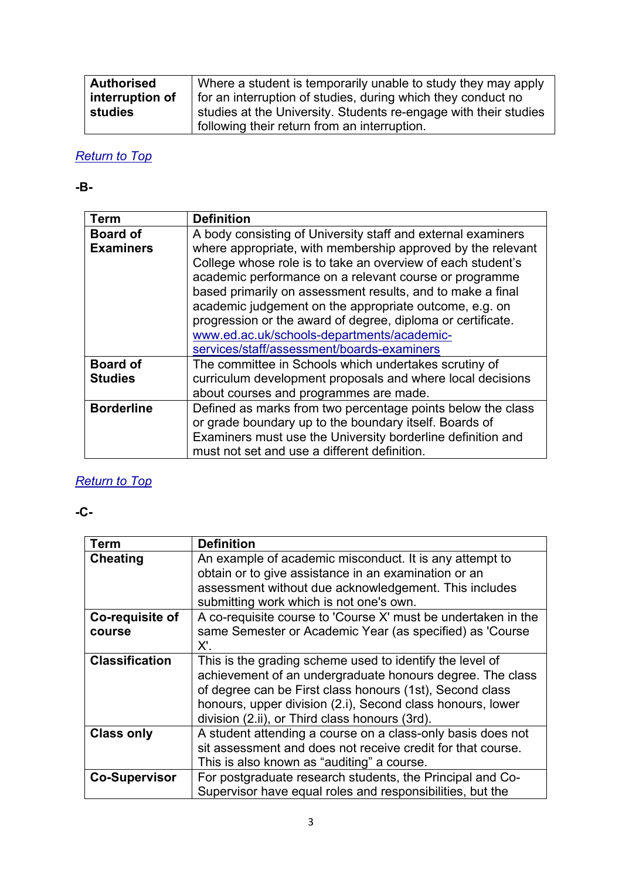| <b>Authorised</b> | Where a student is temporarily unable to study they may apply    |
|-------------------|------------------------------------------------------------------|
| interruption of   | for an interruption of studies, during which they conduct no     |
| studies           | studies at the University. Students re-engage with their studies |
|                   | following their return from an interruption.                     |

#### <span id="page-2-0"></span>**-B-**

<span id="page-2-4"></span>

| <b>Term</b>       | <b>Definition</b>                                                                                                                                                                                                                                                                                                                                                                                                                                                       |
|-------------------|-------------------------------------------------------------------------------------------------------------------------------------------------------------------------------------------------------------------------------------------------------------------------------------------------------------------------------------------------------------------------------------------------------------------------------------------------------------------------|
| <b>Board of</b>   | A body consisting of University staff and external examiners                                                                                                                                                                                                                                                                                                                                                                                                            |
| <b>Examiners</b>  | where appropriate, with membership approved by the relevant<br>College whose role is to take an overview of each student's<br>academic performance on a relevant course or programme<br>based primarily on assessment results, and to make a final<br>academic judgement on the appropriate outcome, e.g. on<br>progression or the award of degree, diploma or certificate.<br>www.ed.ac.uk/schools-departments/academic-<br>services/staff/assessment/boards-examiners |
| <b>Board of</b>   | The committee in Schools which undertakes scrutiny of                                                                                                                                                                                                                                                                                                                                                                                                                   |
| <b>Studies</b>    | curriculum development proposals and where local decisions                                                                                                                                                                                                                                                                                                                                                                                                              |
|                   | about courses and programmes are made.                                                                                                                                                                                                                                                                                                                                                                                                                                  |
| <b>Borderline</b> | Defined as marks from two percentage points below the class<br>or grade boundary up to the boundary itself. Boards of<br>Examiners must use the University borderline definition and<br>must not set and use a different definition.                                                                                                                                                                                                                                    |

## *[Return to Top](#page-0-1)*

### <span id="page-2-1"></span>**-C-**

<span id="page-2-3"></span><span id="page-2-2"></span>

| <b>Term</b>           | <b>Definition</b>                                             |
|-----------------------|---------------------------------------------------------------|
| <b>Cheating</b>       | An example of academic misconduct. It is any attempt to       |
|                       | obtain or to give assistance in an examination or an          |
|                       | assessment without due acknowledgement. This includes         |
|                       | submitting work which is not one's own.                       |
| Co-requisite of       | A co-requisite course to 'Course X' must be undertaken in the |
| course                | same Semester or Academic Year (as specified) as 'Course      |
|                       | X'.                                                           |
| <b>Classification</b> | This is the grading scheme used to identify the level of      |
|                       | achievement of an undergraduate honours degree. The class     |
|                       | of degree can be First class honours (1st), Second class      |
|                       | honours, upper division (2.i), Second class honours, lower    |
|                       | division (2.ii), or Third class honours (3rd).                |
| <b>Class only</b>     | A student attending a course on a class-only basis does not   |
|                       | sit assessment and does not receive credit for that course.   |
|                       | This is also known as "auditing" a course.                    |
| <b>Co-Supervisor</b>  | For postgraduate research students, the Principal and Co-     |
|                       | Supervisor have equal roles and responsibilities, but the     |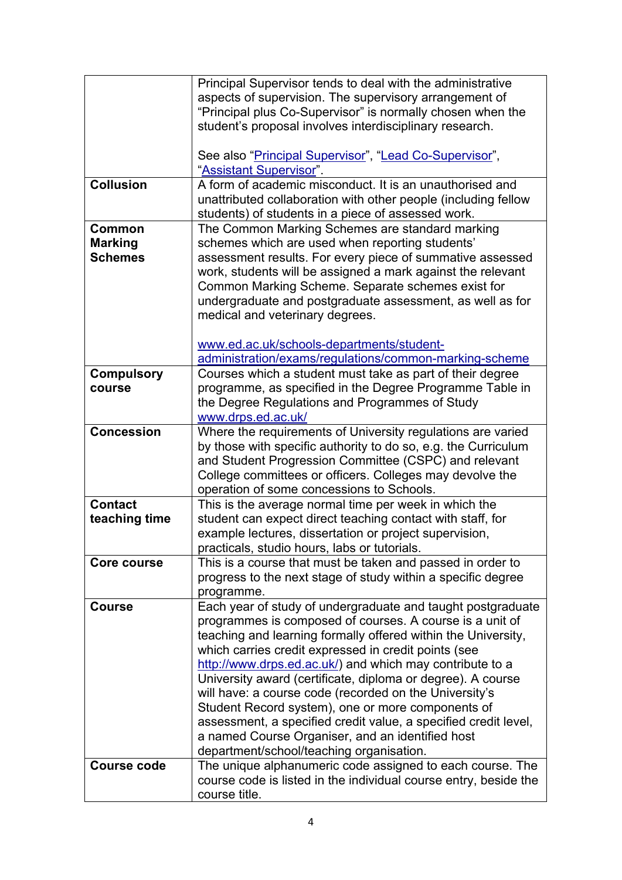<span id="page-3-0"></span>

|                    | Principal Supervisor tends to deal with the administrative       |
|--------------------|------------------------------------------------------------------|
|                    | aspects of supervision. The supervisory arrangement of           |
|                    | "Principal plus Co-Supervisor" is normally chosen when the       |
|                    | student's proposal involves interdisciplinary research.          |
|                    |                                                                  |
|                    | See also "Principal Supervisor", "Lead Co-Supervisor",           |
|                    | "Assistant Supervisor".                                          |
| <b>Collusion</b>   | A form of academic misconduct. It is an unauthorised and         |
|                    | unattributed collaboration with other people (including fellow   |
|                    | students) of students in a piece of assessed work.               |
| Common             | The Common Marking Schemes are standard marking                  |
| <b>Marking</b>     | schemes which are used when reporting students'                  |
| <b>Schemes</b>     | assessment results. For every piece of summative assessed        |
|                    | work, students will be assigned a mark against the relevant      |
|                    | Common Marking Scheme. Separate schemes exist for                |
|                    | undergraduate and postgraduate assessment, as well as for        |
|                    | medical and veterinary degrees.                                  |
|                    |                                                                  |
|                    | www.ed.ac.uk/schools-departments/student-                        |
|                    | administration/exams/regulations/common-marking-scheme           |
| <b>Compulsory</b>  | Courses which a student must take as part of their degree        |
| course             | programme, as specified in the Degree Programme Table in         |
|                    | the Degree Regulations and Programmes of Study                   |
|                    | www.drps.ed.ac.uk/                                               |
| <b>Concession</b>  | Where the requirements of University regulations are varied      |
|                    | by those with specific authority to do so, e.g. the Curriculum   |
|                    | and Student Progression Committee (CSPC) and relevant            |
|                    | College committees or officers. Colleges may devolve the         |
|                    | operation of some concessions to Schools.                        |
| <b>Contact</b>     | This is the average normal time per week in which the            |
| teaching time      | student can expect direct teaching contact with staff, for       |
|                    | example lectures, dissertation or project supervision,           |
|                    | practicals, studio hours, labs or tutorials.                     |
| Core course        | This is a course that must be taken and passed in order to       |
|                    | progress to the next stage of study within a specific degree     |
|                    | programme.                                                       |
| <b>Course</b>      | Each year of study of undergraduate and taught postgraduate      |
|                    | programmes is composed of courses. A course is a unit of         |
|                    | teaching and learning formally offered within the University,    |
|                    | which carries credit expressed in credit points (see             |
|                    | http://www.drps.ed.ac.uk/) and which may contribute to a         |
|                    | University award (certificate, diploma or degree). A course      |
|                    | will have: a course code (recorded on the University's           |
|                    | Student Record system), one or more components of                |
|                    | assessment, a specified credit value, a specified credit level,  |
|                    | a named Course Organiser, and an identified host                 |
|                    | department/school/teaching organisation.                         |
| <b>Course code</b> | The unique alphanumeric code assigned to each course. The        |
|                    | course code is listed in the individual course entry, beside the |
|                    | course title.                                                    |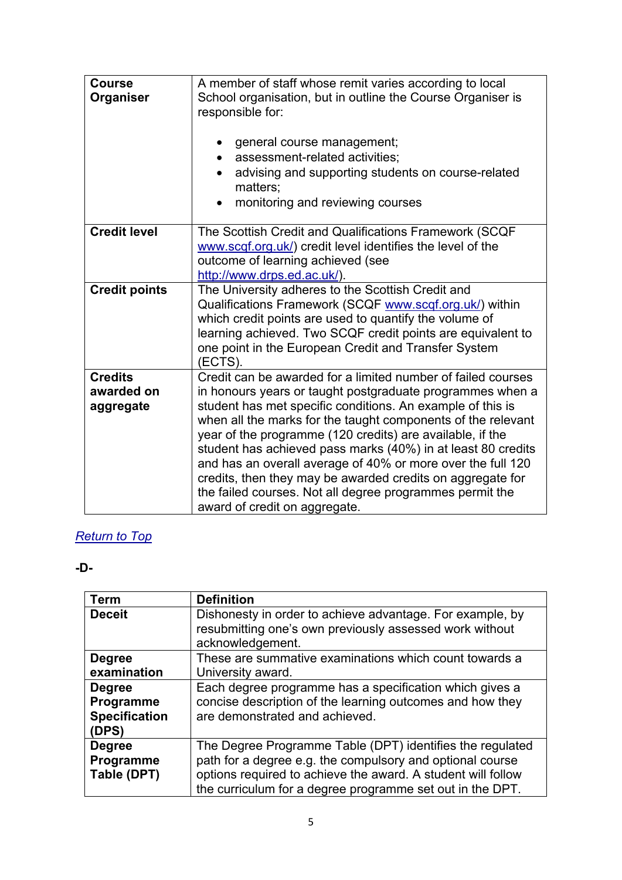| <b>Course</b><br>Organiser                | A member of staff whose remit varies according to local<br>School organisation, but in outline the Course Organiser is<br>responsible for:<br>general course management;<br>٠<br>assessment-related activities;<br>advising and supporting students on course-related<br>matters:                                                                                                                                                                                                                                                                                                                              |
|-------------------------------------------|----------------------------------------------------------------------------------------------------------------------------------------------------------------------------------------------------------------------------------------------------------------------------------------------------------------------------------------------------------------------------------------------------------------------------------------------------------------------------------------------------------------------------------------------------------------------------------------------------------------|
|                                           | monitoring and reviewing courses<br>$\bullet$                                                                                                                                                                                                                                                                                                                                                                                                                                                                                                                                                                  |
| <b>Credit level</b>                       | The Scottish Credit and Qualifications Framework (SCQF<br>www.scqf.org.uk/) credit level identifies the level of the<br>outcome of learning achieved (see<br>http://www.drps.ed.ac.uk/).                                                                                                                                                                                                                                                                                                                                                                                                                       |
| <b>Credit points</b>                      | The University adheres to the Scottish Credit and<br>Qualifications Framework (SCQF www.scqf.org.uk/) within<br>which credit points are used to quantify the volume of<br>learning achieved. Two SCQF credit points are equivalent to<br>one point in the European Credit and Transfer System<br>(ECTS).                                                                                                                                                                                                                                                                                                       |
| <b>Credits</b><br>awarded on<br>aggregate | Credit can be awarded for a limited number of failed courses<br>in honours years or taught postgraduate programmes when a<br>student has met specific conditions. An example of this is<br>when all the marks for the taught components of the relevant<br>year of the programme (120 credits) are available, if the<br>student has achieved pass marks (40%) in at least 80 credits<br>and has an overall average of 40% or more over the full 120<br>credits, then they may be awarded credits on aggregate for<br>the failed courses. Not all degree programmes permit the<br>award of credit on aggregate. |

#### <span id="page-4-0"></span>**-D-**

<span id="page-4-1"></span>

| <b>Term</b>          | <b>Definition</b>                                                                                                                        |
|----------------------|------------------------------------------------------------------------------------------------------------------------------------------|
| <b>Deceit</b>        | Dishonesty in order to achieve advantage. For example, by<br>resubmitting one's own previously assessed work without<br>acknowledgement. |
| <b>Degree</b>        | These are summative examinations which count towards a                                                                                   |
| examination          | University award.                                                                                                                        |
| <b>Degree</b>        | Each degree programme has a specification which gives a                                                                                  |
| Programme            | concise description of the learning outcomes and how they                                                                                |
| <b>Specification</b> | are demonstrated and achieved.                                                                                                           |
| (DPS)                |                                                                                                                                          |
| <b>Degree</b>        | The Degree Programme Table (DPT) identifies the regulated                                                                                |
| Programme            | path for a degree e.g. the compulsory and optional course                                                                                |
| Table (DPT)          | options required to achieve the award. A student will follow                                                                             |
|                      | the curriculum for a degree programme set out in the DPT.                                                                                |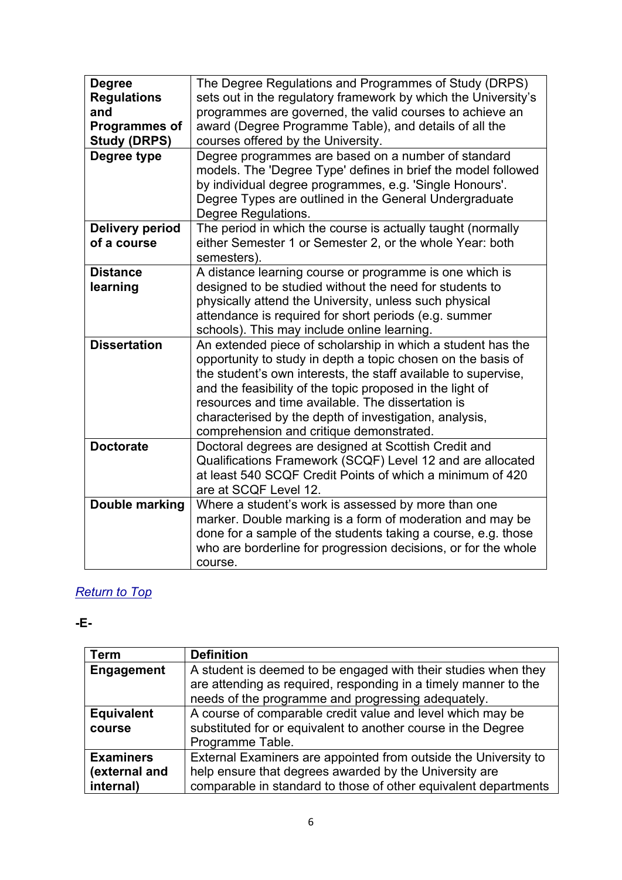| <b>Degree</b><br><b>Regulations</b><br>and<br><b>Programmes of</b><br><b>Study (DRPS)</b> | The Degree Regulations and Programmes of Study (DRPS)<br>sets out in the regulatory framework by which the University's<br>programmes are governed, the valid courses to achieve an<br>award (Degree Programme Table), and details of all the<br>courses offered by the University.                                                                                                                                   |
|-------------------------------------------------------------------------------------------|-----------------------------------------------------------------------------------------------------------------------------------------------------------------------------------------------------------------------------------------------------------------------------------------------------------------------------------------------------------------------------------------------------------------------|
| Degree type                                                                               | Degree programmes are based on a number of standard<br>models. The 'Degree Type' defines in brief the model followed<br>by individual degree programmes, e.g. 'Single Honours'.<br>Degree Types are outlined in the General Undergraduate<br>Degree Regulations.                                                                                                                                                      |
| <b>Delivery period</b><br>of a course                                                     | The period in which the course is actually taught (normally<br>either Semester 1 or Semester 2, or the whole Year: both<br>semesters).                                                                                                                                                                                                                                                                                |
| <b>Distance</b><br>learning                                                               | A distance learning course or programme is one which is<br>designed to be studied without the need for students to<br>physically attend the University, unless such physical<br>attendance is required for short periods (e.g. summer<br>schools). This may include online learning.                                                                                                                                  |
| <b>Dissertation</b>                                                                       | An extended piece of scholarship in which a student has the<br>opportunity to study in depth a topic chosen on the basis of<br>the student's own interests, the staff available to supervise,<br>and the feasibility of the topic proposed in the light of<br>resources and time available. The dissertation is<br>characterised by the depth of investigation, analysis,<br>comprehension and critique demonstrated. |
| <b>Doctorate</b>                                                                          | Doctoral degrees are designed at Scottish Credit and<br>Qualifications Framework (SCQF) Level 12 and are allocated<br>at least 540 SCQF Credit Points of which a minimum of 420<br>are at SCQF Level 12.                                                                                                                                                                                                              |
| Double marking                                                                            | Where a student's work is assessed by more than one<br>marker. Double marking is a form of moderation and may be<br>done for a sample of the students taking a course, e.g. those<br>who are borderline for progression decisions, or for the whole<br>course.                                                                                                                                                        |

#### <span id="page-5-0"></span>**-E-**

| <b>Term</b>       | <b>Definition</b>                                               |
|-------------------|-----------------------------------------------------------------|
| <b>Engagement</b> | A student is deemed to be engaged with their studies when they  |
|                   | are attending as required, responding in a timely manner to the |
|                   | needs of the programme and progressing adequately.              |
| <b>Equivalent</b> | A course of comparable credit value and level which may be      |
| course            | substituted for or equivalent to another course in the Degree   |
|                   | Programme Table.                                                |
| <b>Examiners</b>  | External Examiners are appointed from outside the University to |
| (external and     | help ensure that degrees awarded by the University are          |
| internal)         | comparable in standard to those of other equivalent departments |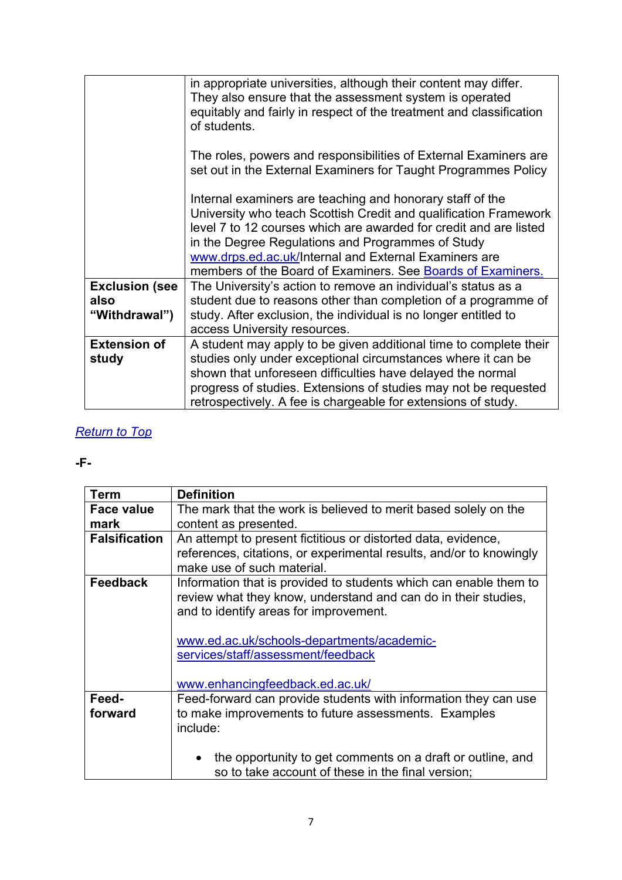|                                                | in appropriate universities, although their content may differ.<br>They also ensure that the assessment system is operated<br>equitably and fairly in respect of the treatment and classification<br>of students.                                                                                                                                                               |
|------------------------------------------------|---------------------------------------------------------------------------------------------------------------------------------------------------------------------------------------------------------------------------------------------------------------------------------------------------------------------------------------------------------------------------------|
|                                                | The roles, powers and responsibilities of External Examiners are<br>set out in the External Examiners for Taught Programmes Policy                                                                                                                                                                                                                                              |
|                                                | Internal examiners are teaching and honorary staff of the<br>University who teach Scottish Credit and qualification Framework<br>level 7 to 12 courses which are awarded for credit and are listed<br>in the Degree Regulations and Programmes of Study<br>www.drps.ed.ac.uk/Internal and External Examiners are<br>members of the Board of Examiners. See Boards of Examiners. |
| <b>Exclusion (see</b><br>also<br>"Withdrawal") | The University's action to remove an individual's status as a<br>student due to reasons other than completion of a programme of<br>study. After exclusion, the individual is no longer entitled to<br>access University resources.                                                                                                                                              |
| <b>Extension of</b><br>study                   | A student may apply to be given additional time to complete their<br>studies only under exceptional circumstances where it can be<br>shown that unforeseen difficulties have delayed the normal<br>progress of studies. Extensions of studies may not be requested<br>retrospectively. A fee is chargeable for extensions of study.                                             |

#### <span id="page-6-0"></span>**-F-**

<span id="page-6-1"></span>

| Term                 | <b>Definition</b>                                                                                                                                                             |
|----------------------|-------------------------------------------------------------------------------------------------------------------------------------------------------------------------------|
| <b>Face value</b>    | The mark that the work is believed to merit based solely on the                                                                                                               |
| mark                 | content as presented.                                                                                                                                                         |
| <b>Falsification</b> | An attempt to present fictitious or distorted data, evidence,                                                                                                                 |
|                      | references, citations, or experimental results, and/or to knowingly                                                                                                           |
|                      | make use of such material.                                                                                                                                                    |
| <b>Feedback</b>      | Information that is provided to students which can enable them to<br>review what they know, understand and can do in their studies,<br>and to identify areas for improvement. |
|                      | www.ed.ac.uk/schools-departments/academic-<br>services/staff/assessment/feedback<br>www.enhancingfeedback.ed.ac.uk/                                                           |
| Feed-                | Feed-forward can provide students with information they can use                                                                                                               |
| forward              | to make improvements to future assessments. Examples                                                                                                                          |
|                      | include:                                                                                                                                                                      |
|                      | the opportunity to get comments on a draft or outline, and<br>so to take account of these in the final version;                                                               |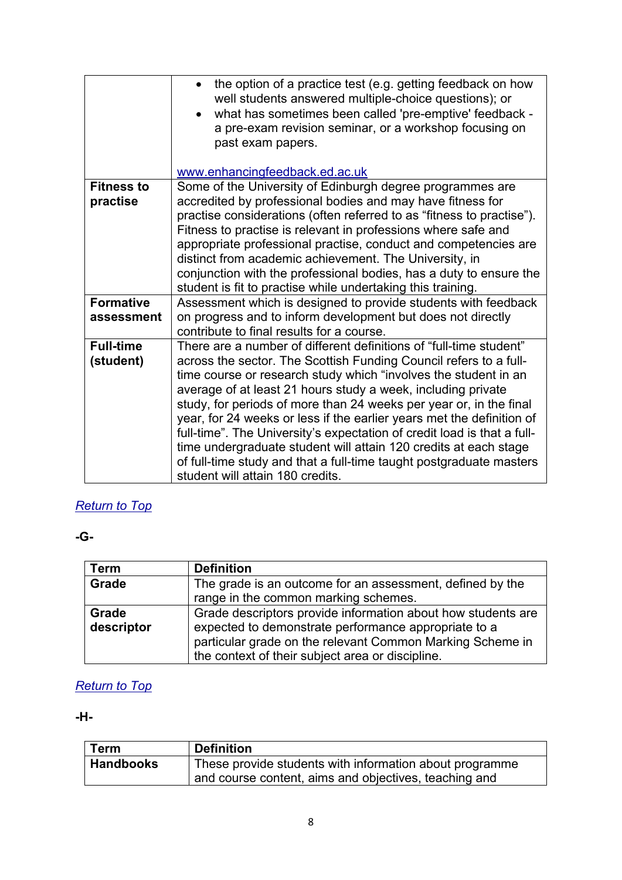|                   | the option of a practice test (e.g. getting feedback on how<br>well students answered multiple-choice questions); or<br>what has sometimes been called 'pre-emptive' feedback -<br>a pre-exam revision seminar, or a workshop focusing on<br>past exam papers.<br>www.enhancingfeedback.ed.ac.uk |
|-------------------|--------------------------------------------------------------------------------------------------------------------------------------------------------------------------------------------------------------------------------------------------------------------------------------------------|
| <b>Fitness to</b> | Some of the University of Edinburgh degree programmes are                                                                                                                                                                                                                                        |
| practise          | accredited by professional bodies and may have fitness for                                                                                                                                                                                                                                       |
|                   | practise considerations (often referred to as "fitness to practise").                                                                                                                                                                                                                            |
|                   | Fitness to practise is relevant in professions where safe and                                                                                                                                                                                                                                    |
|                   | appropriate professional practise, conduct and competencies are                                                                                                                                                                                                                                  |
|                   | distinct from academic achievement. The University, in                                                                                                                                                                                                                                           |
|                   | conjunction with the professional bodies, has a duty to ensure the<br>student is fit to practise while undertaking this training.                                                                                                                                                                |
| <b>Formative</b>  | Assessment which is designed to provide students with feedback                                                                                                                                                                                                                                   |
| assessment        | on progress and to inform development but does not directly                                                                                                                                                                                                                                      |
|                   | contribute to final results for a course.                                                                                                                                                                                                                                                        |
| <b>Full-time</b>  | There are a number of different definitions of "full-time student"                                                                                                                                                                                                                               |
| (student)         | across the sector. The Scottish Funding Council refers to a full-                                                                                                                                                                                                                                |
|                   | time course or research study which "involves the student in an                                                                                                                                                                                                                                  |
|                   | average of at least 21 hours study a week, including private                                                                                                                                                                                                                                     |
|                   | study, for periods of more than 24 weeks per year or, in the final                                                                                                                                                                                                                               |
|                   | year, for 24 weeks or less if the earlier years met the definition of<br>full-time". The University's expectation of credit load is that a full-                                                                                                                                                 |
|                   | time undergraduate student will attain 120 credits at each stage                                                                                                                                                                                                                                 |
|                   | of full-time study and that a full-time taught postgraduate masters                                                                                                                                                                                                                              |
|                   | student will attain 180 credits.                                                                                                                                                                                                                                                                 |

### <span id="page-7-0"></span>**-G-**

| <b>Term</b> | <b>Definition</b>                                            |
|-------------|--------------------------------------------------------------|
| Grade       | The grade is an outcome for an assessment, defined by the    |
|             | range in the common marking schemes.                         |
| Grade       | Grade descriptors provide information about how students are |
| descriptor  | expected to demonstrate performance appropriate to a         |
|             | particular grade on the relevant Common Marking Scheme in    |
|             | the context of their subject area or discipline.             |

## *[Return to Top](#page-0-1)*

### <span id="page-7-1"></span>**-H-**

| <b>Term</b>      | <b>Definition</b>                                       |
|------------------|---------------------------------------------------------|
| <b>Handbooks</b> | These provide students with information about programme |
|                  | and course content, aims and objectives, teaching and   |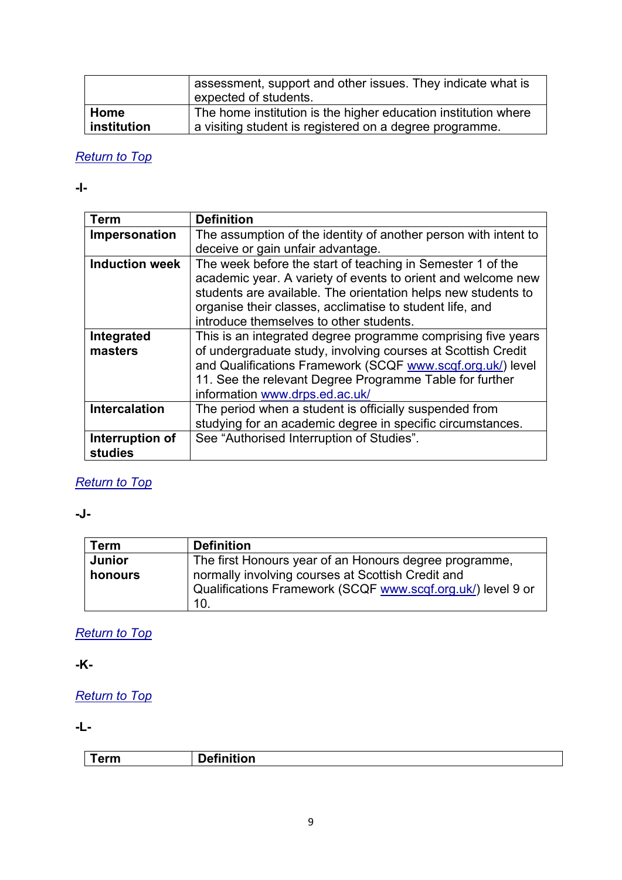|             | assessment, support and other issues. They indicate what is<br>expected of students. |
|-------------|--------------------------------------------------------------------------------------|
| Home        | The home institution is the higher education institution where                       |
| institution | a visiting student is registered on a degree programme.                              |

<span id="page-8-0"></span>**-I-**

<span id="page-8-4"></span>

| Term                       | <b>Definition</b>                                                                                                                                                                                                                                                                                  |
|----------------------------|----------------------------------------------------------------------------------------------------------------------------------------------------------------------------------------------------------------------------------------------------------------------------------------------------|
| Impersonation              | The assumption of the identity of another person with intent to                                                                                                                                                                                                                                    |
|                            | deceive or gain unfair advantage.                                                                                                                                                                                                                                                                  |
| <b>Induction week</b>      | The week before the start of teaching in Semester 1 of the<br>academic year. A variety of events to orient and welcome new<br>students are available. The orientation helps new students to<br>organise their classes, acclimatise to student life, and<br>introduce themselves to other students. |
| Integrated<br>masters      | This is an integrated degree programme comprising five years<br>of undergraduate study, involving courses at Scottish Credit<br>and Qualifications Framework (SCQF www.scqf.org.uk/) level<br>11. See the relevant Degree Programme Table for further<br>information www.drps.ed.ac.uk/            |
| <b>Intercalation</b>       | The period when a student is officially suspended from<br>studying for an academic degree in specific circumstances.                                                                                                                                                                               |
| Interruption of<br>studies | See "Authorised Interruption of Studies".                                                                                                                                                                                                                                                          |

## *[Return to Top](#page-0-1)*

### <span id="page-8-1"></span>**-J-**

| Term    | <b>Definition</b>                                           |
|---------|-------------------------------------------------------------|
| Junior  | The first Honours year of an Honours degree programme,      |
| honours | normally involving courses at Scottish Credit and           |
|         | Qualifications Framework (SCQF www.scqf.org.uk/) level 9 or |
|         | 10.                                                         |

### *[Return to Top](#page-0-1)*

<span id="page-8-2"></span>**-K-**

## *[Return to Top](#page-0-1)*

#### <span id="page-8-3"></span>**-L-**

**Term Definition**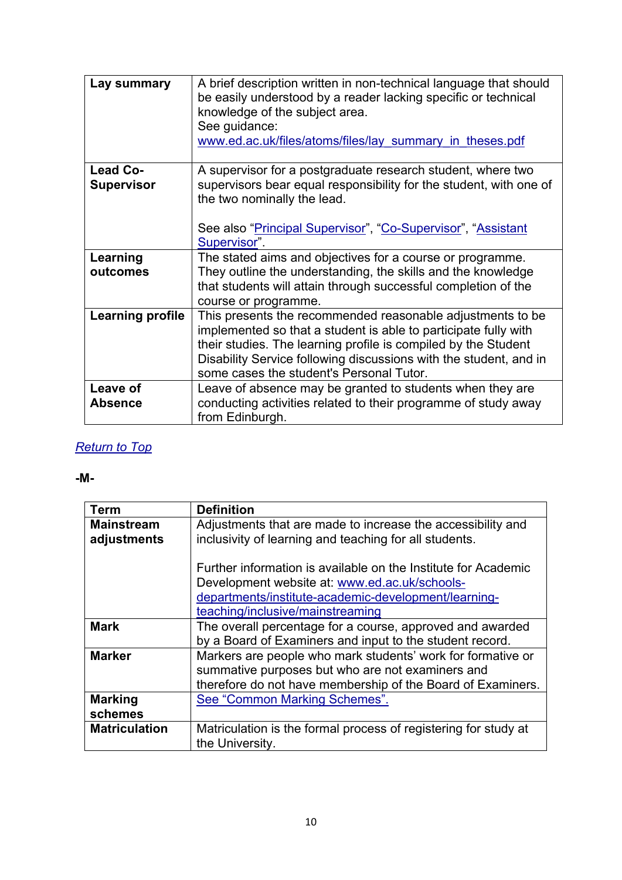<span id="page-9-1"></span>

| Lay summary                          | A brief description written in non-technical language that should<br>be easily understood by a reader lacking specific or technical<br>knowledge of the subject area.<br>See guidance:<br>www.ed.ac.uk/files/atoms/files/lay summary in theses.pdf                                                               |
|--------------------------------------|------------------------------------------------------------------------------------------------------------------------------------------------------------------------------------------------------------------------------------------------------------------------------------------------------------------|
| <b>Lead Co-</b><br><b>Supervisor</b> | A supervisor for a postgraduate research student, where two<br>supervisors bear equal responsibility for the student, with one of<br>the two nominally the lead.<br>See also "Principal Supervisor", "Co-Supervisor", "Assistant<br>Supervisor".                                                                 |
| Learning<br>outcomes                 | The stated aims and objectives for a course or programme.<br>They outline the understanding, the skills and the knowledge<br>that students will attain through successful completion of the<br>course or programme.                                                                                              |
| <b>Learning profile</b>              | This presents the recommended reasonable adjustments to be<br>implemented so that a student is able to participate fully with<br>their studies. The learning profile is compiled by the Student<br>Disability Service following discussions with the student, and in<br>some cases the student's Personal Tutor. |
| Leave of<br><b>Absence</b>           | Leave of absence may be granted to students when they are<br>conducting activities related to their programme of study away<br>from Edinburgh.                                                                                                                                                                   |

#### <span id="page-9-0"></span>**-M-**

| Term                             | <b>Definition</b>                                                                                                                                                                                           |
|----------------------------------|-------------------------------------------------------------------------------------------------------------------------------------------------------------------------------------------------------------|
| <b>Mainstream</b><br>adjustments | Adjustments that are made to increase the accessibility and<br>inclusivity of learning and teaching for all students.                                                                                       |
|                                  | Further information is available on the Institute for Academic<br>Development website at: www.ed.ac.uk/schools-<br>departments/institute-academic-development/learning-<br>teaching/inclusive/mainstreaming |
| <b>Mark</b>                      | The overall percentage for a course, approved and awarded<br>by a Board of Examiners and input to the student record.                                                                                       |
| <b>Marker</b>                    | Markers are people who mark students' work for formative or<br>summative purposes but who are not examiners and<br>therefore do not have membership of the Board of Examiners.                              |
| <b>Marking</b><br>schemes        | See "Common Marking Schemes".                                                                                                                                                                               |
| <b>Matriculation</b>             | Matriculation is the formal process of registering for study at<br>the University.                                                                                                                          |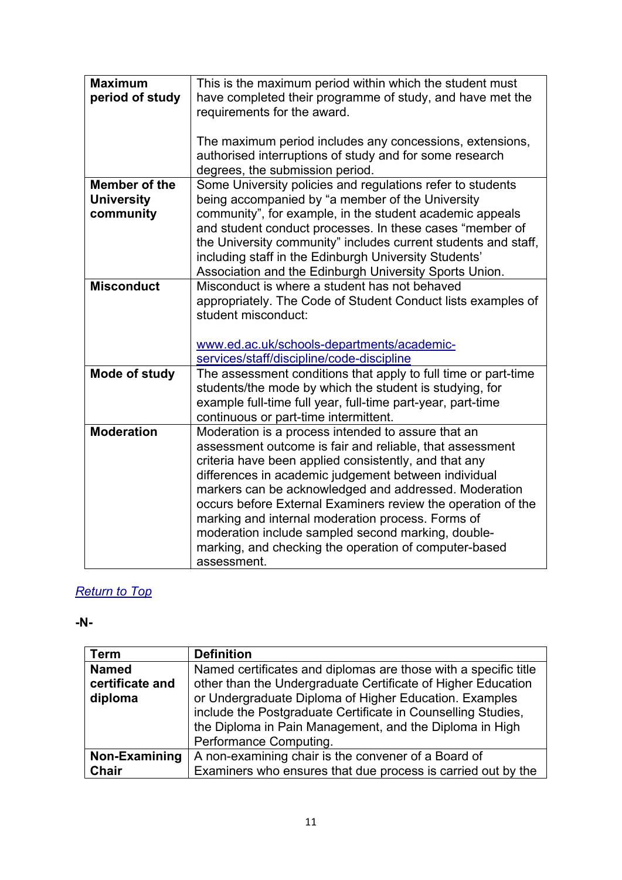| <b>Maximum</b>       | This is the maximum period within which the student must       |
|----------------------|----------------------------------------------------------------|
| period of study      | have completed their programme of study, and have met the      |
|                      | requirements for the award.                                    |
|                      |                                                                |
|                      | The maximum period includes any concessions, extensions,       |
|                      | authorised interruptions of study and for some research        |
|                      |                                                                |
|                      | degrees, the submission period.                                |
| <b>Member of the</b> | Some University policies and regulations refer to students     |
| <b>University</b>    | being accompanied by "a member of the University               |
| community            | community", for example, in the student academic appeals       |
|                      | and student conduct processes. In these cases "member of       |
|                      | the University community" includes current students and staff, |
|                      | including staff in the Edinburgh University Students'          |
|                      | Association and the Edinburgh University Sports Union.         |
| <b>Misconduct</b>    | Misconduct is where a student has not behaved                  |
|                      | appropriately. The Code of Student Conduct lists examples of   |
|                      | student misconduct:                                            |
|                      |                                                                |
|                      |                                                                |
|                      | www.ed.ac.uk/schools-departments/academic-                     |
|                      | services/staff/discipline/code-discipline                      |
| Mode of study        | The assessment conditions that apply to full time or part-time |
|                      | students/the mode by which the student is studying, for        |
|                      | example full-time full year, full-time part-year, part-time    |
|                      | continuous or part-time intermittent.                          |
| <b>Moderation</b>    |                                                                |
|                      |                                                                |
|                      | Moderation is a process intended to assure that an             |
|                      | assessment outcome is fair and reliable, that assessment       |
|                      | criteria have been applied consistently, and that any          |
|                      | differences in academic judgement between individual           |
|                      | markers can be acknowledged and addressed. Moderation          |
|                      | occurs before External Examiners review the operation of the   |
|                      | marking and internal moderation process. Forms of              |
|                      | moderation include sampled second marking, double-             |
|                      | marking, and checking the operation of computer-based          |

#### <span id="page-10-0"></span>**-N-**

| <b>Term</b>     | <b>Definition</b>                                               |
|-----------------|-----------------------------------------------------------------|
| <b>Named</b>    | Named certificates and diplomas are those with a specific title |
| certificate and | other than the Undergraduate Certificate of Higher Education    |
| diploma         | or Undergraduate Diploma of Higher Education. Examples          |
|                 | include the Postgraduate Certificate in Counselling Studies,    |
|                 | the Diploma in Pain Management, and the Diploma in High         |
|                 | Performance Computing.                                          |
| Non-Examining   | A non-examining chair is the convener of a Board of             |
| <b>Chair</b>    | Examiners who ensures that due process is carried out by the    |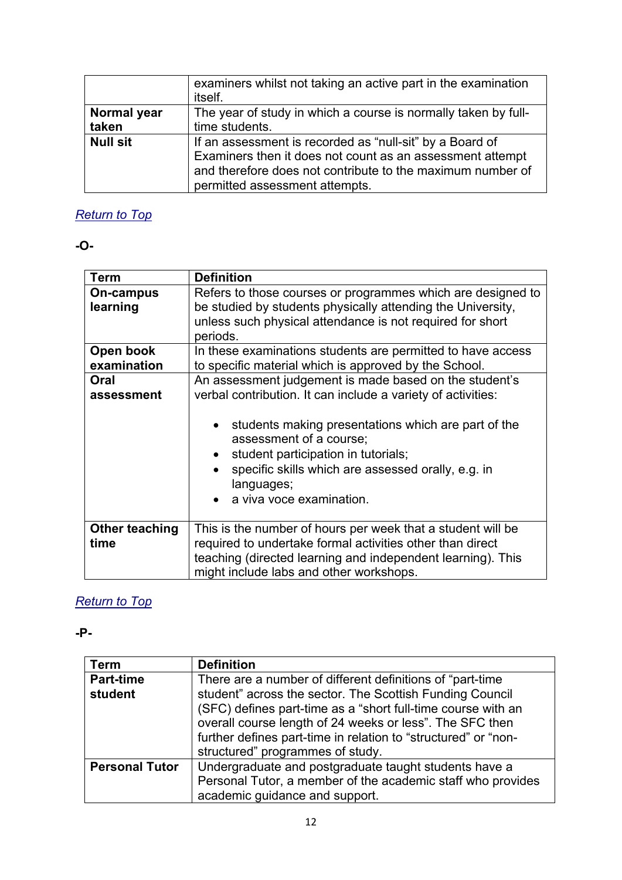|                      | examiners whilst not taking an active part in the examination<br>itself.                                                                                                                                              |
|----------------------|-----------------------------------------------------------------------------------------------------------------------------------------------------------------------------------------------------------------------|
| Normal year<br>taken | The year of study in which a course is normally taken by full-<br>time students.                                                                                                                                      |
| <b>Null sit</b>      | If an assessment is recorded as "null-sit" by a Board of<br>Examiners then it does not count as an assessment attempt<br>and therefore does not contribute to the maximum number of<br>permitted assessment attempts. |

<span id="page-11-0"></span>**-O-**

| Term                     | <b>Definition</b>                                                                                                                                                                                                                                                                                                                               |
|--------------------------|-------------------------------------------------------------------------------------------------------------------------------------------------------------------------------------------------------------------------------------------------------------------------------------------------------------------------------------------------|
| On-campus<br>learning    | Refers to those courses or programmes which are designed to<br>be studied by students physically attending the University,<br>unless such physical attendance is not required for short<br>periods.                                                                                                                                             |
| Open book<br>examination | In these examinations students are permitted to have access<br>to specific material which is approved by the School.                                                                                                                                                                                                                            |
| Oral<br>assessment       | An assessment judgement is made based on the student's<br>verbal contribution. It can include a variety of activities:<br>students making presentations which are part of the<br>assessment of a course;<br>student participation in tutorials;<br>specific skills which are assessed orally, e.g. in<br>languages;<br>a viva voce examination. |
| Other teaching<br>time   | This is the number of hours per week that a student will be<br>required to undertake formal activities other than direct<br>teaching (directed learning and independent learning). This<br>might include labs and other workshops.                                                                                                              |

### *[Return to Top](#page-0-1)*

<span id="page-11-1"></span>**-P-**

| Term                  | <b>Definition</b>                                              |
|-----------------------|----------------------------------------------------------------|
| <b>Part-time</b>      | There are a number of different definitions of "part-time"     |
| student               | student" across the sector. The Scottish Funding Council       |
|                       | (SFC) defines part-time as a "short full-time course with an   |
|                       | overall course length of 24 weeks or less". The SFC then       |
|                       | further defines part-time in relation to "structured" or "non- |
|                       | structured" programmes of study.                               |
| <b>Personal Tutor</b> | Undergraduate and postgraduate taught students have a          |
|                       | Personal Tutor, a member of the academic staff who provides    |
|                       | academic guidance and support.                                 |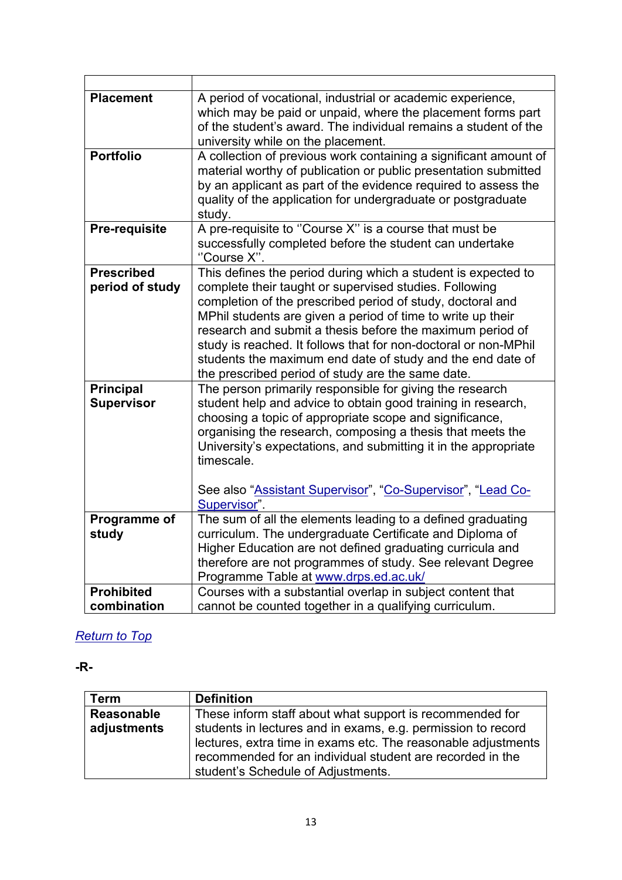<span id="page-12-1"></span>

| <b>Placement</b>                      | A period of vocational, industrial or academic experience,<br>which may be paid or unpaid, where the placement forms part<br>of the student's award. The individual remains a student of the<br>university while on the placement.                                                                                                                                                                                                                                                                      |
|---------------------------------------|---------------------------------------------------------------------------------------------------------------------------------------------------------------------------------------------------------------------------------------------------------------------------------------------------------------------------------------------------------------------------------------------------------------------------------------------------------------------------------------------------------|
| <b>Portfolio</b>                      | A collection of previous work containing a significant amount of<br>material worthy of publication or public presentation submitted<br>by an applicant as part of the evidence required to assess the<br>quality of the application for undergraduate or postgraduate<br>study.                                                                                                                                                                                                                         |
| <b>Pre-requisite</b>                  | A pre-requisite to "Course X" is a course that must be<br>successfully completed before the student can undertake<br>"Course X".                                                                                                                                                                                                                                                                                                                                                                        |
| <b>Prescribed</b><br>period of study  | This defines the period during which a student is expected to<br>complete their taught or supervised studies. Following<br>completion of the prescribed period of study, doctoral and<br>MPhil students are given a period of time to write up their<br>research and submit a thesis before the maximum period of<br>study is reached. It follows that for non-doctoral or non-MPhil<br>students the maximum end date of study and the end date of<br>the prescribed period of study are the same date. |
| <b>Principal</b><br><b>Supervisor</b> | The person primarily responsible for giving the research<br>student help and advice to obtain good training in research,<br>choosing a topic of appropriate scope and significance,<br>organising the research, composing a thesis that meets the<br>University's expectations, and submitting it in the appropriate<br>timescale.<br>See also "Assistant Supervisor", "Co-Supervisor", "Lead Co-<br>Supervisor".                                                                                       |
| Programme of<br>study                 | The sum of all the elements leading to a defined graduating<br>curriculum. The undergraduate Certificate and Diploma of<br>Higher Education are not defined graduating curricula and<br>therefore are not programmes of study. See relevant Degree<br>Programme Table at www.drps.ed.ac.uk/                                                                                                                                                                                                             |
| <b>Prohibited</b><br>combination      | Courses with a substantial overlap in subject content that<br>cannot be counted together in a qualifying curriculum.                                                                                                                                                                                                                                                                                                                                                                                    |

<span id="page-12-2"></span><span id="page-12-0"></span>**-R-**

| <b>Term</b> | <b>Definition</b>                                             |
|-------------|---------------------------------------------------------------|
| Reasonable  | These inform staff about what support is recommended for      |
| adjustments | students in lectures and in exams, e.g. permission to record  |
|             | lectures, extra time in exams etc. The reasonable adjustments |
|             | recommended for an individual student are recorded in the     |
|             | student's Schedule of Adjustments.                            |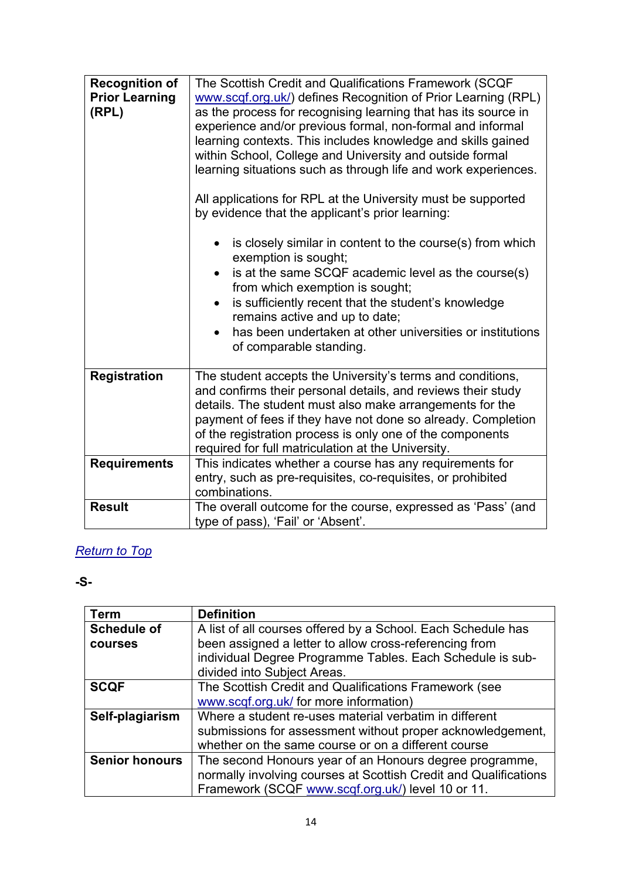| <b>Recognition of</b><br><b>Prior Learning</b><br>(RPL) | The Scottish Credit and Qualifications Framework (SCQF<br>www.scqf.org.uk/) defines Recognition of Prior Learning (RPL)<br>as the process for recognising learning that has its source in<br>experience and/or previous formal, non-formal and informal<br>learning contexts. This includes knowledge and skills gained<br>within School, College and University and outside formal<br>learning situations such as through life and work experiences.<br>All applications for RPL at the University must be supported<br>by evidence that the applicant's prior learning:<br>is closely similar in content to the course(s) from which<br>exemption is sought;<br>is at the same SCQF academic level as the course(s)<br>from which exemption is sought;<br>is sufficiently recent that the student's knowledge<br>$\bullet$<br>remains active and up to date;<br>has been undertaken at other universities or institutions<br>$\bullet$<br>of comparable standing. |
|---------------------------------------------------------|---------------------------------------------------------------------------------------------------------------------------------------------------------------------------------------------------------------------------------------------------------------------------------------------------------------------------------------------------------------------------------------------------------------------------------------------------------------------------------------------------------------------------------------------------------------------------------------------------------------------------------------------------------------------------------------------------------------------------------------------------------------------------------------------------------------------------------------------------------------------------------------------------------------------------------------------------------------------|
| <b>Registration</b>                                     | The student accepts the University's terms and conditions,<br>and confirms their personal details, and reviews their study<br>details. The student must also make arrangements for the<br>payment of fees if they have not done so already. Completion<br>of the registration process is only one of the components<br>required for full matriculation at the University.                                                                                                                                                                                                                                                                                                                                                                                                                                                                                                                                                                                           |
| <b>Requirements</b>                                     | This indicates whether a course has any requirements for<br>entry, such as pre-requisites, co-requisites, or prohibited<br>combinations.                                                                                                                                                                                                                                                                                                                                                                                                                                                                                                                                                                                                                                                                                                                                                                                                                            |
| <b>Result</b>                                           | The overall outcome for the course, expressed as 'Pass' (and<br>type of pass), 'Fail' or 'Absent'.                                                                                                                                                                                                                                                                                                                                                                                                                                                                                                                                                                                                                                                                                                                                                                                                                                                                  |

### <span id="page-13-0"></span>**-S-**

| <b>Term</b>           | <b>Definition</b>                                                |
|-----------------------|------------------------------------------------------------------|
| <b>Schedule of</b>    | A list of all courses offered by a School. Each Schedule has     |
| courses               | been assigned a letter to allow cross-referencing from           |
|                       | individual Degree Programme Tables. Each Schedule is sub-        |
|                       | divided into Subject Areas.                                      |
| <b>SCQF</b>           | The Scottish Credit and Qualifications Framework (see            |
|                       | www.scqf.org.uk/ for more information)                           |
| Self-plagiarism       | Where a student re-uses material verbatim in different           |
|                       | submissions for assessment without proper acknowledgement,       |
|                       | whether on the same course or on a different course              |
| <b>Senior honours</b> | The second Honours year of an Honours degree programme,          |
|                       | normally involving courses at Scottish Credit and Qualifications |
|                       | Framework (SCQF www.scqf.org.uk/) level 10 or 11.                |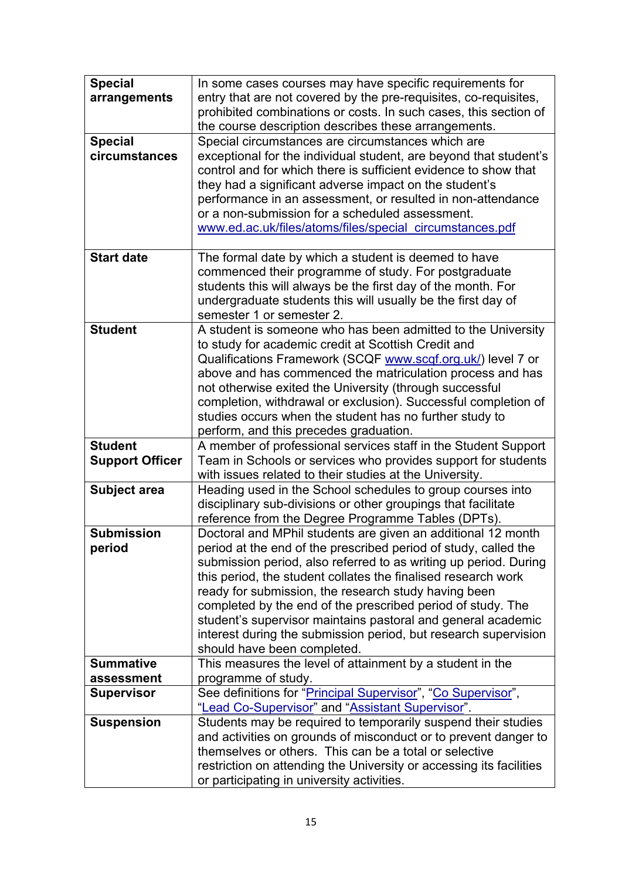| <b>Special</b>         | In some cases courses may have specific requirements for                                                                          |
|------------------------|-----------------------------------------------------------------------------------------------------------------------------------|
| arrangements           | entry that are not covered by the pre-requisites, co-requisites,                                                                  |
|                        | prohibited combinations or costs. In such cases, this section of                                                                  |
| <b>Special</b>         | the course description describes these arrangements.<br>Special circumstances are circumstances which are                         |
| circumstances          | exceptional for the individual student, are beyond that student's                                                                 |
|                        | control and for which there is sufficient evidence to show that                                                                   |
|                        | they had a significant adverse impact on the student's                                                                            |
|                        | performance in an assessment, or resulted in non-attendance                                                                       |
|                        | or a non-submission for a scheduled assessment.                                                                                   |
|                        | www.ed.ac.uk/files/atoms/files/special circumstances.pdf                                                                          |
|                        |                                                                                                                                   |
| <b>Start date</b>      | The formal date by which a student is deemed to have                                                                              |
|                        | commenced their programme of study. For postgraduate<br>students this will always be the first day of the month. For              |
|                        | undergraduate students this will usually be the first day of                                                                      |
|                        | semester 1 or semester 2.                                                                                                         |
| <b>Student</b>         | A student is someone who has been admitted to the University                                                                      |
|                        | to study for academic credit at Scottish Credit and                                                                               |
|                        | Qualifications Framework (SCQF www.scqf.org.uk/) level 7 or                                                                       |
|                        | above and has commenced the matriculation process and has                                                                         |
|                        | not otherwise exited the University (through successful                                                                           |
|                        | completion, withdrawal or exclusion). Successful completion of                                                                    |
|                        | studies occurs when the student has no further study to<br>perform, and this precedes graduation.                                 |
| <b>Student</b>         | A member of professional services staff in the Student Support                                                                    |
| <b>Support Officer</b> | Team in Schools or services who provides support for students                                                                     |
|                        | with issues related to their studies at the University.                                                                           |
| Subject area           | Heading used in the School schedules to group courses into                                                                        |
|                        | disciplinary sub-divisions or other groupings that facilitate                                                                     |
|                        | reference from the Degree Programme Tables (DPTs).                                                                                |
| <b>Submission</b>      | Doctoral and MPhil students are given an additional 12 month                                                                      |
| period                 | period at the end of the prescribed period of study, called the                                                                   |
|                        | submission period, also referred to as writing up period. During<br>this period, the student collates the finalised research work |
|                        | ready for submission, the research study having been                                                                              |
|                        | completed by the end of the prescribed period of study. The                                                                       |
|                        | student's supervisor maintains pastoral and general academic                                                                      |
|                        | interest during the submission period, but research supervision                                                                   |
|                        | should have been completed.                                                                                                       |
| <b>Summative</b>       | This measures the level of attainment by a student in the                                                                         |
| assessment             | programme of study.                                                                                                               |
| <b>Supervisor</b>      | See definitions for "Principal Supervisor", "Co Supervisor",                                                                      |
| <b>Suspension</b>      | "Lead Co-Supervisor" and "Assistant Supervisor".<br>Students may be required to temporarily suspend their studies                 |
|                        | and activities on grounds of misconduct or to prevent danger to                                                                   |
|                        | themselves or others. This can be a total or selective                                                                            |
|                        | restriction on attending the University or accessing its facilities                                                               |
|                        | or participating in university activities.                                                                                        |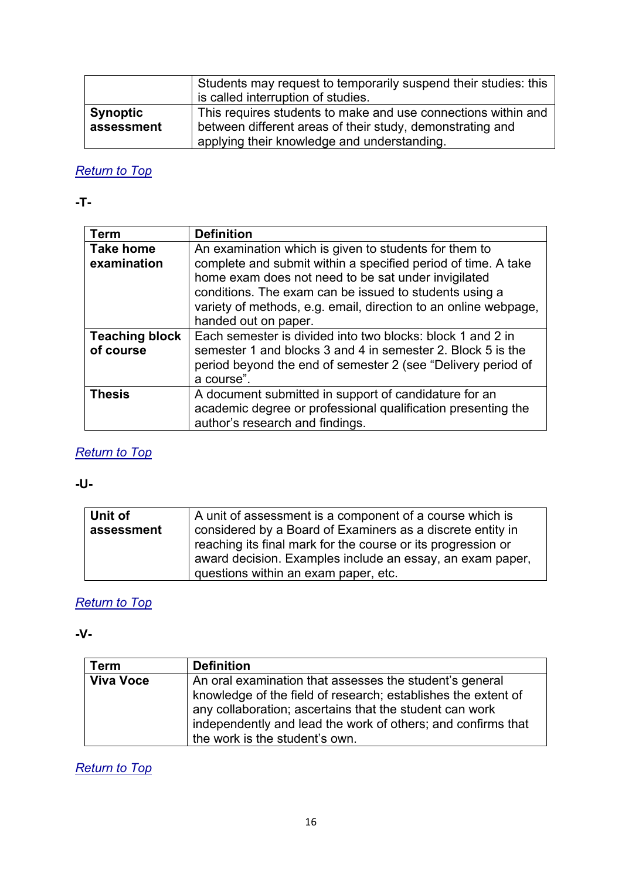|                               | Students may request to temporarily suspend their studies: this<br>is called interruption of studies.                                                                     |
|-------------------------------|---------------------------------------------------------------------------------------------------------------------------------------------------------------------------|
| <b>Synoptic</b><br>assessment | This requires students to make and use connections within and<br>between different areas of their study, demonstrating and<br>applying their knowledge and understanding. |

#### <span id="page-15-0"></span>**-T-**

| <b>Term</b>                        | <b>Definition</b>                                                                                                                                                                                                                                                         |
|------------------------------------|---------------------------------------------------------------------------------------------------------------------------------------------------------------------------------------------------------------------------------------------------------------------------|
| <b>Take home</b>                   | An examination which is given to students for them to                                                                                                                                                                                                                     |
| examination                        | complete and submit within a specified period of time. A take<br>home exam does not need to be sat under invigilated<br>conditions. The exam can be issued to students using a<br>variety of methods, e.g. email, direction to an online webpage,<br>handed out on paper. |
| <b>Teaching block</b><br>of course | Each semester is divided into two blocks: block 1 and 2 in<br>semester 1 and blocks 3 and 4 in semester 2. Block 5 is the<br>period beyond the end of semester 2 (see "Delivery period of<br>a course".                                                                   |
| <b>Thesis</b>                      | A document submitted in support of candidature for an<br>academic degree or professional qualification presenting the<br>author's research and findings.                                                                                                                  |

## *[Return to Top](#page-0-1)*

<span id="page-15-1"></span>**-U-**

| Unit of<br>assessment | A unit of assessment is a component of a course which is<br>considered by a Board of Examiners as a discrete entity in<br>reaching its final mark for the course or its progression or |
|-----------------------|----------------------------------------------------------------------------------------------------------------------------------------------------------------------------------------|
|                       | award decision. Examples include an essay, an exam paper,<br>questions within an exam paper, etc.                                                                                      |

### *[Return to Top](#page-0-1)*

<span id="page-15-2"></span>**-V-**

| Term             | <b>Definition</b>                                             |
|------------------|---------------------------------------------------------------|
| <b>Viva Voce</b> | An oral examination that assesses the student's general       |
|                  | knowledge of the field of research; establishes the extent of |
|                  | any collaboration; ascertains that the student can work       |
|                  | independently and lead the work of others; and confirms that  |
|                  | the work is the student's own.                                |

*[Return to Top](#page-0-1)*